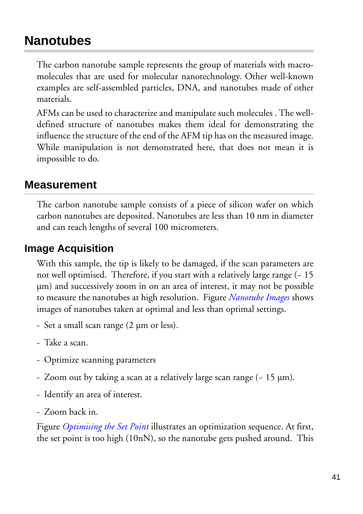# **Nanotubes**

The carbon nanotube sample represents the group of materials with macromolecules that are used for molecular nanotechnology. Other well-known examples are self-assembled particles, DNA, and nanotubes made of other materials.

AFMs can be used to characterize and manipulate such molecules . The welldefined structure of nanotubes makes them ideal for demonstrating the influence the structure of the end of the AFM tip has on the measured image. While manipulation is not demonstrated here, that does not mean it is impossible to do.

# **Measurement**

The carbon nanotube sample consists of a piece of silicon wafer on which carbon nanotubes are deposited. Nanotubes are less than 10 nm in diameter and can reach lengths of several 100 micrometers.

# **Image Acquisition**

With this sample, the tip is likely to be damaged, if the scan parameters are not well optimised. Therefore, if you start with a relatively large range (~ 15 µm) and successively zoom in on an area of interest, it may not be possible to measure the nanotubes at high resolution. Figure *Nanotube Images* shows images of nanotubes taken at optimal and less than optimal settings.

- Set a small scan range (2 µm or less).
- Take a scan.
- Optimize scanning parameters
- Zoom out by taking a scan at a relatively large scan range (~ 15 µm).
- Identify an area of interest.
- Zoom back in.

Figure *Optimising the Set Point* illustrates an optimization sequence. At first, the set point is too high (10nN), so the nanotube gets pushed around. This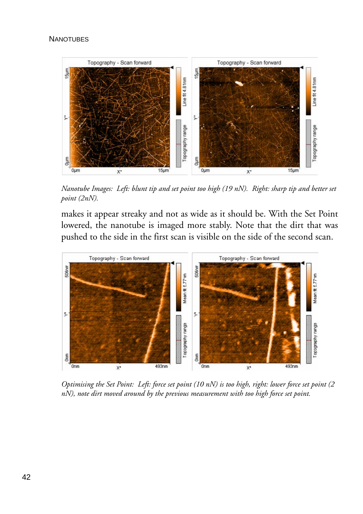#### **NANOTUBES**



*Nanotube Images: Left: blunt tip and set point too high (19 nN). Right: sharp tip and better set point (2nN).* 

makes it appear streaky and not as wide as it should be. With the Set Point lowered, the nanotube is imaged more stably. Note that the dirt that was pushed to the side in the first scan is visible on the side of the second scan.



*Optimising the Set Point: Left: force set point (10 nN) is too high, right: lower force set point (2 nN), note dirt moved around by the previous measurement with too high force set point.*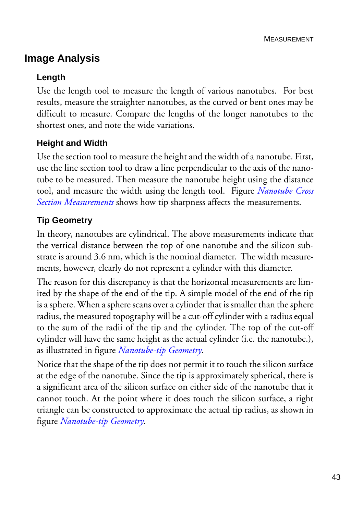## **Image Analysis**

### **Length**

Use the length tool to measure the length of various nanotubes. For best results, measure the straighter nanotubes, as the curved or bent ones may be difficult to measure. Compare the lengths of the longer nanotubes to the shortest ones, and note the wide variations.

## **Height and Width**

Use the section tool to measure the height and the width of a nanotube. First, use the line section tool to draw a line perpendicular to the axis of the nanotube to be measured. Then measure the nanotube height using the distance tool, and measure the width using the length tool. Figure *Nanotube Cross Section Measurements* shows how tip sharpness affects the measurements.

#### **Tip Geometry**

In theory, nanotubes are cylindrical. The above measurements indicate that the vertical distance between the top of one nanotube and the silicon substrate is around 3.6 nm, which is the nominal diameter. The width measurements, however, clearly do not represent a cylinder with this diameter.

The reason for this discrepancy is that the horizontal measurements are limited by the shape of the end of the tip. A simple model of the end of the tip is a sphere. When a sphere scans over a cylinder that is smaller than the sphere radius, the measured topography will be a cut-off cylinder with a radius equal to the sum of the radii of the tip and the cylinder. The top of the cut-off cylinder will have the same height as the actual cylinder (i.e. the nanotube.), as illustrated in figure *Nanotube-tip Geometry*.

Notice that the shape of the tip does not permit it to touch the silicon surface at the edge of the nanotube. Since the tip is approximately spherical, there is a significant area of the silicon surface on either side of the nanotube that it cannot touch. At the point where it does touch the silicon surface, a right triangle can be constructed to approximate the actual tip radius, as shown in figure *Nanotube-tip Geometry*.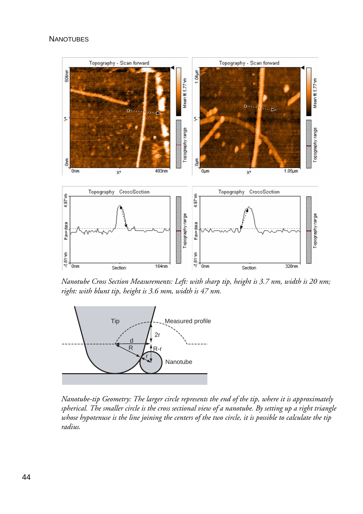#### **NANOTUBES**



*Nanotube Cross Section Measurements: Left: with sharp tip, height is 3.7 nm, width is 20 nm; right: with blunt tip, height is 3.6 mm, width is 47 nm.*



*Nanotube-tip Geometry: The larger circle represents the end of the tip, where it is approximately spherical. The smaller circle is the cross sectional view of a nanotube. By setting up a right triangle whose hypotenuse is the line joining the centers of the two circle, it is possible to calculate the tip radius.*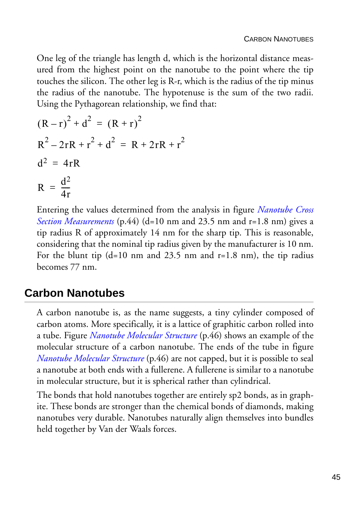One leg of the triangle has length d, which is the horizontal distance measured from the highest point on the nanotube to the point where the tip touches the silicon. The other leg is R-r, which is the radius of the tip minus the radius of the nanotube. The hypotenuse is the sum of the two radii. Using the Pythagorean relationship, we find that:

$$
(R - r)2 + d2 = (R + r)2
$$
  
R<sup>2</sup> - 2rR + r<sup>2</sup> + d<sup>2</sup> = R + 2rR + r<sup>2</sup>  
d<sup>2</sup> = 4rR  
R =  $\frac{d^{2}}{4r}$ 

Entering the values determined from the analysis in figure *Nanotube Cross Section Measurements* (p.44) (d=10 nm and 23.5 nm and r=1.8 nm) gives a tip radius R of approximately 14 nm for the sharp tip. This is reasonable, considering that the nominal tip radius given by the manufacturer is 10 nm. For the blunt tip  $(d=10 \text{ nm}$  and  $23.5 \text{ nm}$  and  $r=1.8 \text{ nm}$ , the tip radius becomes 77 nm.

# **Carbon Nanotubes**

A carbon nanotube is, as the name suggests, a tiny cylinder composed of carbon atoms. More specifically, it is a lattice of graphitic carbon rolled into a tube. Figure *Nanotube Molecular Structure* (p.46) shows an example of the molecular structure of a carbon nanotube. The ends of the tube in figure *Nanotube Molecular Structure* (p.46) are not capped, but it is possible to seal a nanotube at both ends with a fullerene. A fullerene is similar to a nanotube in molecular structure, but it is spherical rather than cylindrical.

The bonds that hold nanotubes together are entirely sp2 bonds, as in graphite. These bonds are stronger than the chemical bonds of diamonds, making nanotubes very durable. Nanotubes naturally align themselves into bundles held together by Van der Waals forces.